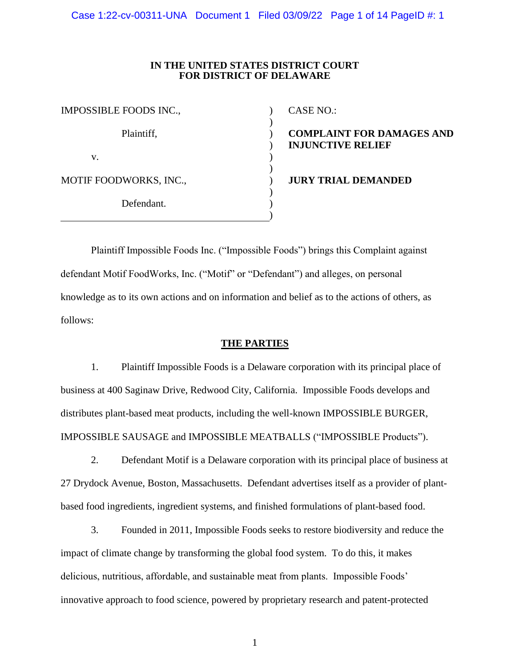Case 1:22-cv-00311-UNA Document 1 Filed 03/09/22 Page 1 of 14 PageID #: 1

### **IN THE UNITED STATES DISTRICT COURT FOR DISTRICT OF DELAWARE**

) ) ) ) ) ) ) ) ) )

| IMPOSSIBLE FOODS INC., |  |
|------------------------|--|
| Plaintiff,             |  |
| V.                     |  |
| MOTIF FOODWORKS, INC., |  |
| Defendant.             |  |

CASE NO.:

**COMPLAINT FOR DAMAGES AND INJUNCTIVE RELIEF**

**JURY TRIAL DEMANDED**

Plaintiff Impossible Foods Inc. ("Impossible Foods") brings this Complaint against defendant Motif FoodWorks, Inc. ("Motif" or "Defendant") and alleges, on personal knowledge as to its own actions and on information and belief as to the actions of others, as follows:

## **THE PARTIES**

1. Plaintiff Impossible Foods is a Delaware corporation with its principal place of business at 400 Saginaw Drive, Redwood City, California. Impossible Foods develops and distributes plant-based meat products, including the well-known IMPOSSIBLE BURGER, IMPOSSIBLE SAUSAGE and IMPOSSIBLE MEATBALLS ("IMPOSSIBLE Products").

2. Defendant Motif is a Delaware corporation with its principal place of business at 27 Drydock Avenue, Boston, Massachusetts. Defendant advertises itself as a provider of plantbased food ingredients, ingredient systems, and finished formulations of plant-based food.

3. Founded in 2011, Impossible Foods seeks to restore biodiversity and reduce the impact of climate change by transforming the global food system. To do this, it makes delicious, nutritious, affordable, and sustainable meat from plants. Impossible Foods' innovative approach to food science, powered by proprietary research and patent-protected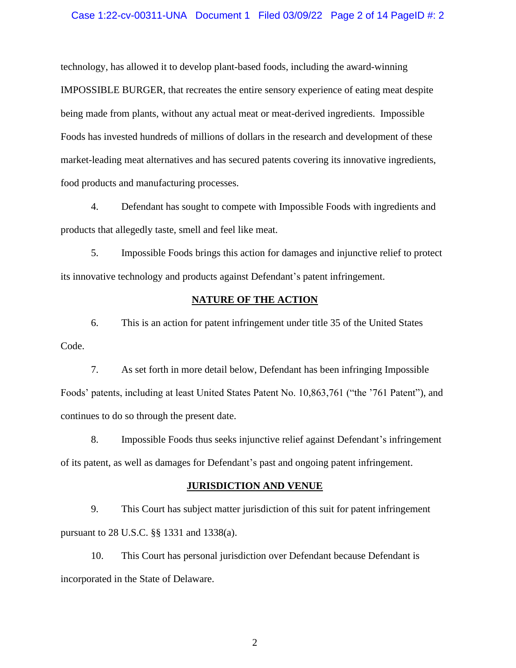### Case 1:22-cv-00311-UNA Document 1 Filed 03/09/22 Page 2 of 14 PageID #: 2

technology, has allowed it to develop plant-based foods, including the award-winning IMPOSSIBLE BURGER, that recreates the entire sensory experience of eating meat despite being made from plants, without any actual meat or meat-derived ingredients. Impossible Foods has invested hundreds of millions of dollars in the research and development of these market-leading meat alternatives and has secured patents covering its innovative ingredients, food products and manufacturing processes.

4. Defendant has sought to compete with Impossible Foods with ingredients and products that allegedly taste, smell and feel like meat.

5. Impossible Foods brings this action for damages and injunctive relief to protect its innovative technology and products against Defendant's patent infringement.

## **NATURE OF THE ACTION**

6. This is an action for patent infringement under title 35 of the United States Code.

7. As set forth in more detail below, Defendant has been infringing Impossible Foods' patents, including at least United States Patent No. 10,863,761 ("the '761 Patent"), and continues to do so through the present date.

8. Impossible Foods thus seeks injunctive relief against Defendant's infringement of its patent, as well as damages for Defendant's past and ongoing patent infringement.

### **JURISDICTION AND VENUE**

9. This Court has subject matter jurisdiction of this suit for patent infringement pursuant to 28 U.S.C. §§ 1331 and 1338(a).

10. This Court has personal jurisdiction over Defendant because Defendant is incorporated in the State of Delaware.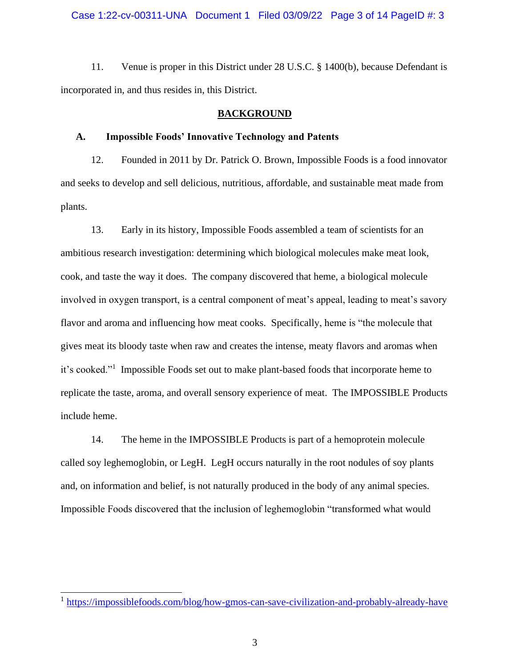11. Venue is proper in this District under 28 U.S.C. § 1400(b), because Defendant is incorporated in, and thus resides in, this District.

### **BACKGROUND**

### **A. Impossible Foods' Innovative Technology and Patents**

12. Founded in 2011 by Dr. Patrick O. Brown, Impossible Foods is a food innovator and seeks to develop and sell delicious, nutritious, affordable, and sustainable meat made from plants.

13. Early in its history, Impossible Foods assembled a team of scientists for an ambitious research investigation: determining which biological molecules make meat look, cook, and taste the way it does. The company discovered that heme, a biological molecule involved in oxygen transport, is a central component of meat's appeal, leading to meat's savory flavor and aroma and influencing how meat cooks. Specifically, heme is "the molecule that gives meat its bloody taste when raw and creates the intense, meaty flavors and aromas when it's cooked."<sup>1</sup> Impossible Foods set out to make plant-based foods that incorporate heme to replicate the taste, aroma, and overall sensory experience of meat. The IMPOSSIBLE Products include heme.

14. The heme in the IMPOSSIBLE Products is part of a hemoprotein molecule called soy leghemoglobin, or LegH. LegH occurs naturally in the root nodules of soy plants and, on information and belief, is not naturally produced in the body of any animal species. Impossible Foods discovered that the inclusion of leghemoglobin "transformed what would

<sup>&</sup>lt;sup>1</sup> https://impossiblefoods.com/blog/how-gmos-can-save-civilization-and-probably-already-have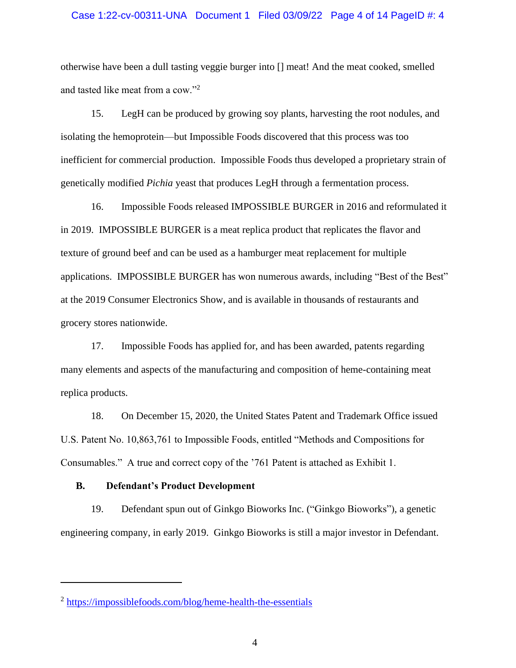### Case 1:22-cv-00311-UNA Document 1 Filed 03/09/22 Page 4 of 14 PageID #: 4

otherwise have been a dull tasting veggie burger into [] meat! And the meat cooked, smelled and tasted like meat from a cow."<sup>2</sup>

15. LegH can be produced by growing soy plants, harvesting the root nodules, and isolating the hemoprotein—but Impossible Foods discovered that this process was too inefficient for commercial production. Impossible Foods thus developed a proprietary strain of genetically modified *Pichia* yeast that produces LegH through a fermentation process.

16. Impossible Foods released IMPOSSIBLE BURGER in 2016 and reformulated it in 2019. IMPOSSIBLE BURGER is a meat replica product that replicates the flavor and texture of ground beef and can be used as a hamburger meat replacement for multiple applications. IMPOSSIBLE BURGER has won numerous awards, including "Best of the Best" at the 2019 Consumer Electronics Show, and is available in thousands of restaurants and grocery stores nationwide.

17. Impossible Foods has applied for, and has been awarded, patents regarding many elements and aspects of the manufacturing and composition of heme-containing meat replica products.

18. On December 15, 2020, the United States Patent and Trademark Office issued U.S. Patent No. 10,863,761 to Impossible Foods, entitled "Methods and Compositions for Consumables." A true and correct copy of the '761 Patent is attached as Exhibit 1.

### **B. Defendant's Product Development**

19. Defendant spun out of Ginkgo Bioworks Inc. ("Ginkgo Bioworks"), a genetic engineering company, in early 2019. Ginkgo Bioworks is still a major investor in Defendant.

<sup>&</sup>lt;sup>2</sup> https://impossiblefoods.com/blog/heme-health-the-essentials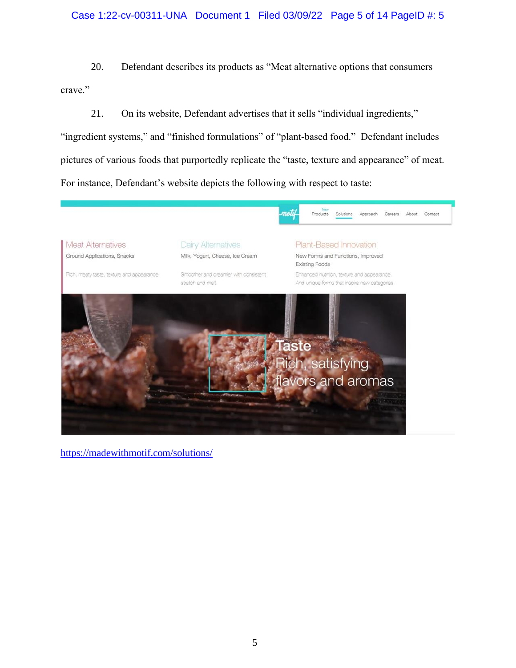# Case 1:22-cv-00311-UNA Document 1 Filed 03/09/22 Page 5 of 14 PageID #: 5

20. Defendant describes its products as "Meat alternative options that consumers crave."

21. On its website, Defendant advertises that it sells "individual ingredients," "ingredient systems," and "finished formulations" of "plant-based food." Defendant includes pictures of various foods that purportedly replicate the "taste, texture and appearance" of meat. For instance, Defendant's website depicts the following with respect to taste:



https://madewithmotif.com/solutions/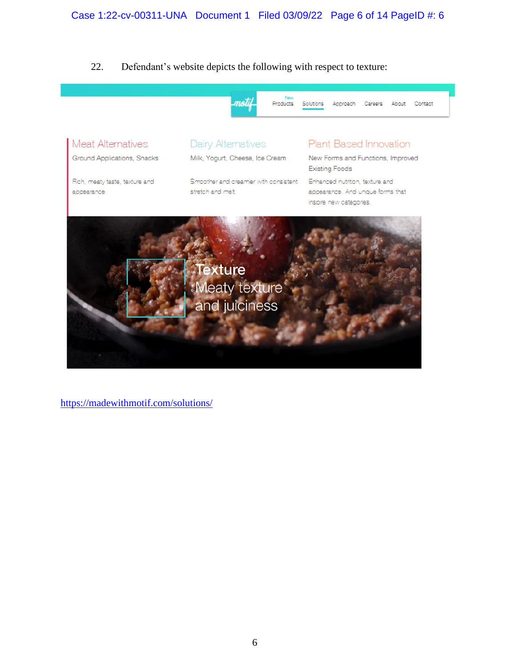22. Defendant's website depicts the following with respect to texture:



https://madewithmotif.com/solutions/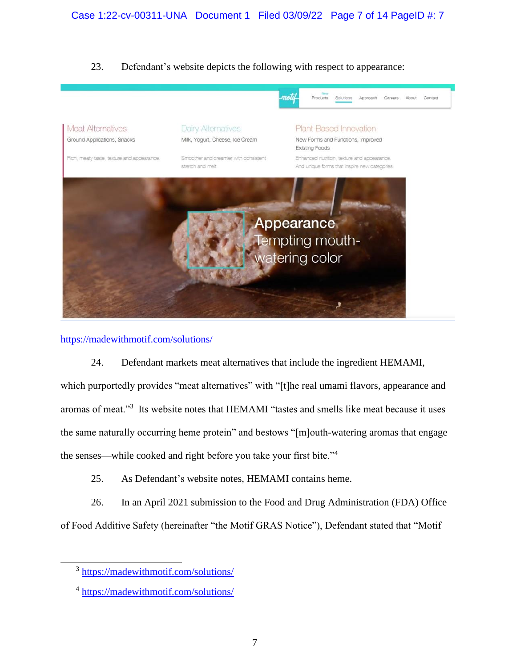# 23. Defendant's website depicts the following with respect to appearance:



# https://madewithmotif.com/solutions/

# 24. Defendant markets meat alternatives that include the ingredient HEMAMI,

which purportedly provides "meat alternatives" with "[t]he real umami flavors, appearance and aromas of meat."<sup>3</sup> Its website notes that HEMAMI "tastes and smells like meat because it uses the same naturally occurring heme protein" and bestows "[m]outh-watering aromas that engage the senses—while cooked and right before you take your first bite."<sup>4</sup>

25. As Defendant's website notes, HEMAMI contains heme.

26. In an April 2021 submission to the Food and Drug Administration (FDA) Office of Food Additive Safety (hereinafter "the Motif GRAS Notice"), Defendant stated that "Motif

<sup>&</sup>lt;sup>3</sup> https://madewithmotif.com/solutions/

<sup>&</sup>lt;sup>4</sup> https://madewithmotif.com/solutions/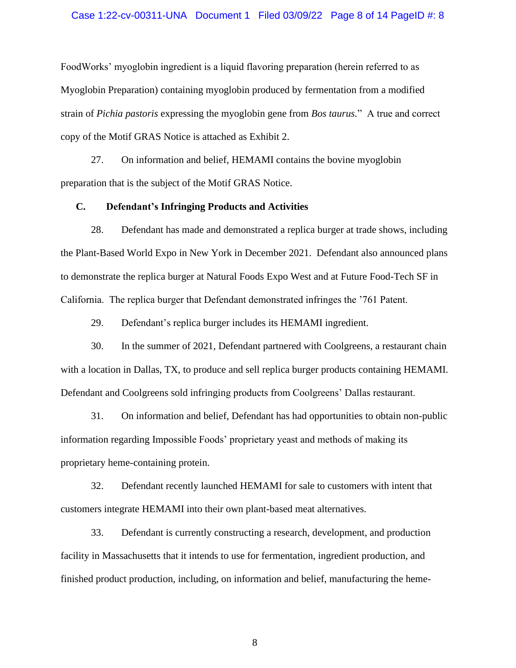### Case 1:22-cv-00311-UNA Document 1 Filed 03/09/22 Page 8 of 14 PageID #: 8

FoodWorks' myoglobin ingredient is a liquid flavoring preparation (herein referred to as Myoglobin Preparation) containing myoglobin produced by fermentation from a modified strain of *Pichia pastoris* expressing the myoglobin gene from *Bos taurus.*" A true and correct copy of the Motif GRAS Notice is attached as Exhibit 2.

27. On information and belief, HEMAMI contains the bovine myoglobin preparation that is the subject of the Motif GRAS Notice.

### **C. Defendant's Infringing Products and Activities**

28. Defendant has made and demonstrated a replica burger at trade shows, including the Plant-Based World Expo in New York in December 2021. Defendant also announced plans to demonstrate the replica burger at Natural Foods Expo West and at Future Food-Tech SF in California. The replica burger that Defendant demonstrated infringes the '761 Patent.

29. Defendant's replica burger includes its HEMAMI ingredient.

30. In the summer of 2021, Defendant partnered with Coolgreens, a restaurant chain with a location in Dallas, TX, to produce and sell replica burger products containing HEMAMI. Defendant and Coolgreens sold infringing products from Coolgreens' Dallas restaurant.

31. On information and belief, Defendant has had opportunities to obtain non-public information regarding Impossible Foods' proprietary yeast and methods of making its proprietary heme-containing protein.

32. Defendant recently launched HEMAMI for sale to customers with intent that customers integrate HEMAMI into their own plant-based meat alternatives.

33. Defendant is currently constructing a research, development, and production facility in Massachusetts that it intends to use for fermentation, ingredient production, and finished product production, including, on information and belief, manufacturing the heme-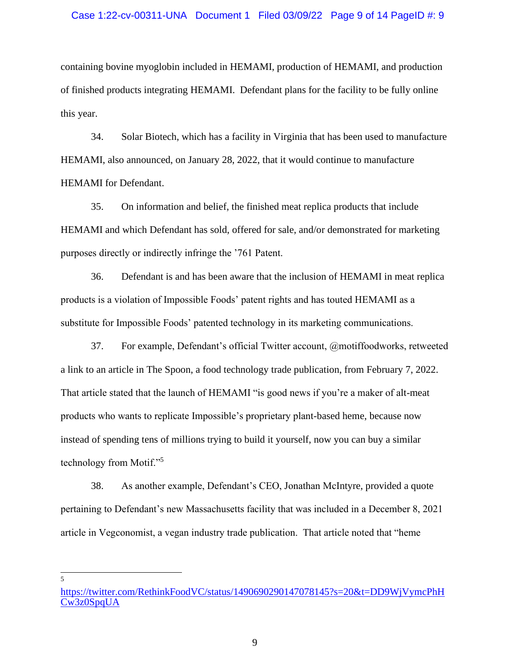### Case 1:22-cv-00311-UNA Document 1 Filed 03/09/22 Page 9 of 14 PageID #: 9

containing bovine myoglobin included in HEMAMI, production of HEMAMI, and production of finished products integrating HEMAMI. Defendant plans for the facility to be fully online this year.

34. Solar Biotech, which has a facility in Virginia that has been used to manufacture HEMAMI, also announced, on January 28, 2022, that it would continue to manufacture HEMAMI for Defendant.

35. On information and belief, the finished meat replica products that include HEMAMI and which Defendant has sold, offered for sale, and/or demonstrated for marketing purposes directly or indirectly infringe the '761 Patent.

36. Defendant is and has been aware that the inclusion of HEMAMI in meat replica products is a violation of Impossible Foods' patent rights and has touted HEMAMI as a substitute for Impossible Foods' patented technology in its marketing communications.

37. For example, Defendant's official Twitter account, @motiffoodworks, retweeted a link to an article in The Spoon, a food technology trade publication, from February 7, 2022. That article stated that the launch of HEMAMI "is good news if you're a maker of alt-meat products who wants to replicate Impossible's proprietary plant-based heme, because now instead of spending tens of millions trying to build it yourself, now you can buy a similar technology from Motif."<sup>5</sup>

38. As another example, Defendant's CEO, Jonathan McIntyre, provided a quote pertaining to Defendant's new Massachusetts facility that was included in a December 8, 2021 article in Vegconomist, a vegan industry trade publication. That article noted that "heme

https://twitter.com/RethinkFoodVC/status/1490690290147078145?s=20&t=DD9WjVymcPhH Cw3z0SpqUA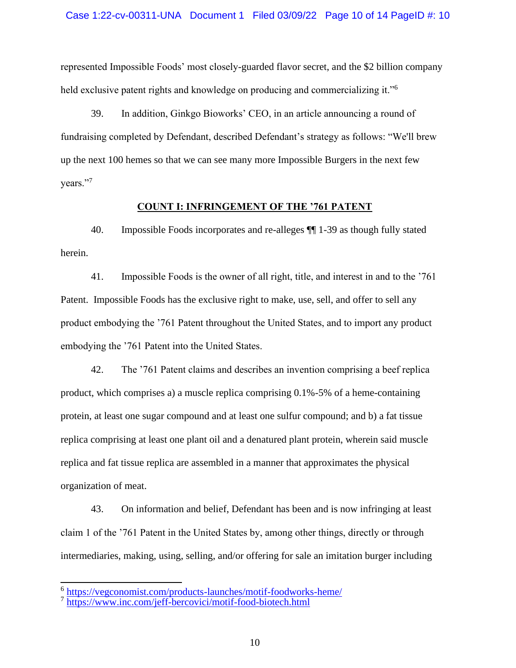represented Impossible Foods' most closely-guarded flavor secret, and the \$2 billion company held exclusive patent rights and knowledge on producing and commercializing it."<sup>6</sup>

39. In addition, Ginkgo Bioworks' CEO, in an article announcing a round of fundraising completed by Defendant, described Defendant's strategy as follows: "We'll brew up the next 100 hemes so that we can see many more Impossible Burgers in the next few years."7

### **COUNT I: INFRINGEMENT OF THE '761 PATENT**

40. Impossible Foods incorporates and re-alleges ¶¶ 1-39 as though fully stated herein.

41. Impossible Foods is the owner of all right, title, and interest in and to the '761 Patent. Impossible Foods has the exclusive right to make, use, sell, and offer to sell any product embodying the '761 Patent throughout the United States, and to import any product embodying the '761 Patent into the United States.

42. The '761 Patent claims and describes an invention comprising a beef replica product, which comprises a) a muscle replica comprising 0.1%-5% of a heme-containing protein, at least one sugar compound and at least one sulfur compound; and b) a fat tissue replica comprising at least one plant oil and a denatured plant protein, wherein said muscle replica and fat tissue replica are assembled in a manner that approximates the physical organization of meat.

43. On information and belief, Defendant has been and is now infringing at least claim 1 of the '761 Patent in the United States by, among other things, directly or through intermediaries, making, using, selling, and/or offering for sale an imitation burger including

<sup>&</sup>lt;sup>6</sup> https://vegconomist.com/products-launches/motif-foodworks-heme/<br><sup>7</sup> https://www.inc.com/jeff-bercovici/motif-food-biotech.html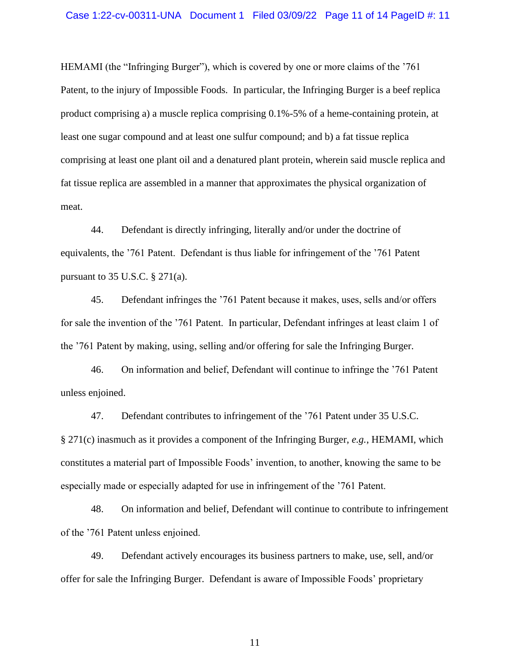HEMAMI (the "Infringing Burger"), which is covered by one or more claims of the '761 Patent, to the injury of Impossible Foods. In particular, the Infringing Burger is a beef replica product comprising a) a muscle replica comprising 0.1%-5% of a heme-containing protein, at least one sugar compound and at least one sulfur compound; and b) a fat tissue replica comprising at least one plant oil and a denatured plant protein, wherein said muscle replica and fat tissue replica are assembled in a manner that approximates the physical organization of meat.

44. Defendant is directly infringing, literally and/or under the doctrine of equivalents, the '761 Patent. Defendant is thus liable for infringement of the '761 Patent pursuant to 35 U.S.C.  $\S 271(a)$ .

45. Defendant infringes the '761 Patent because it makes, uses, sells and/or offers for sale the invention of the '761 Patent. In particular, Defendant infringes at least claim 1 of the '761 Patent by making, using, selling and/or offering for sale the Infringing Burger.

46. On information and belief, Defendant will continue to infringe the '761 Patent unless enjoined.

47. Defendant contributes to infringement of the '761 Patent under 35 U.S.C. § 271(c) inasmuch as it provides a component of the Infringing Burger, *e.g.*, HEMAMI, which constitutes a material part of Impossible Foods' invention, to another, knowing the same to be especially made or especially adapted for use in infringement of the '761 Patent.

48. On information and belief, Defendant will continue to contribute to infringement of the '761 Patent unless enjoined.

49. Defendant actively encourages its business partners to make, use, sell, and/or offer for sale the Infringing Burger. Defendant is aware of Impossible Foods' proprietary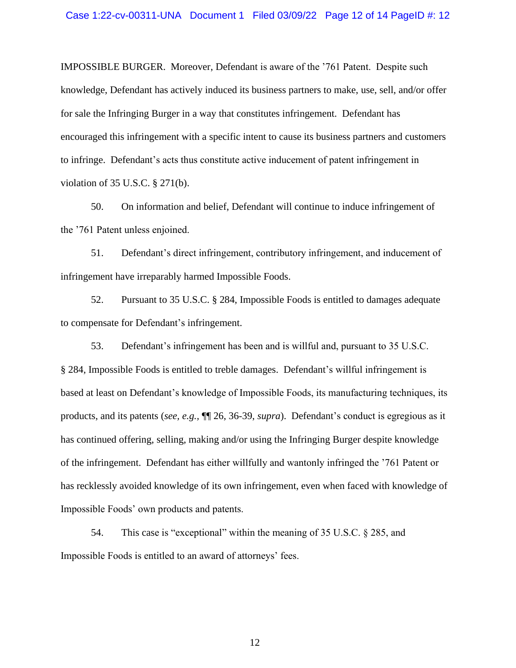IMPOSSIBLE BURGER. Moreover, Defendant is aware of the '761 Patent. Despite such knowledge, Defendant has actively induced its business partners to make, use, sell, and/or offer for sale the Infringing Burger in a way that constitutes infringement. Defendant has encouraged this infringement with a specific intent to cause its business partners and customers to infringe. Defendant's acts thus constitute active inducement of patent infringement in violation of 35 U.S.C. § 271(b).

50. On information and belief, Defendant will continue to induce infringement of the '761 Patent unless enjoined.

51. Defendant's direct infringement, contributory infringement, and inducement of infringement have irreparably harmed Impossible Foods.

52. Pursuant to 35 U.S.C. § 284, Impossible Foods is entitled to damages adequate to compensate for Defendant's infringement.

53. Defendant's infringement has been and is willful and, pursuant to 35 U.S.C. § 284, Impossible Foods is entitled to treble damages. Defendant's willful infringement is based at least on Defendant's knowledge of Impossible Foods, its manufacturing techniques, its products, and its patents (*see, e.g.,* ¶¶ 26, 36-39, *supra*). Defendant's conduct is egregious as it has continued offering, selling, making and/or using the Infringing Burger despite knowledge of the infringement. Defendant has either willfully and wantonly infringed the '761 Patent or has recklessly avoided knowledge of its own infringement, even when faced with knowledge of Impossible Foods' own products and patents.

54. This case is "exceptional" within the meaning of 35 U.S.C. § 285, and Impossible Foods is entitled to an award of attorneys' fees.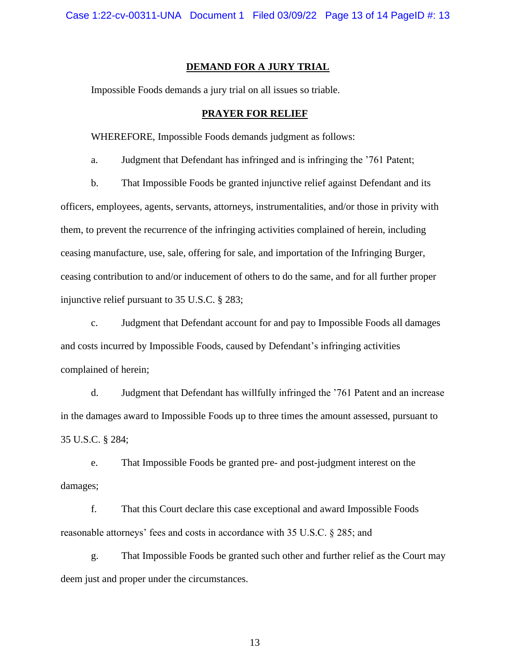### **DEMAND FOR A JURY TRIAL**

Impossible Foods demands a jury trial on all issues so triable.

## **PRAYER FOR RELIEF**

WHEREFORE, Impossible Foods demands judgment as follows:

a. Judgment that Defendant has infringed and is infringing the '761 Patent;

b. That Impossible Foods be granted injunctive relief against Defendant and its officers, employees, agents, servants, attorneys, instrumentalities, and/or those in privity with them, to prevent the recurrence of the infringing activities complained of herein, including ceasing manufacture, use, sale, offering for sale, and importation of the Infringing Burger, ceasing contribution to and/or inducement of others to do the same, and for all further proper injunctive relief pursuant to 35 U.S.C. § 283;

c. Judgment that Defendant account for and pay to Impossible Foods all damages and costs incurred by Impossible Foods, caused by Defendant's infringing activities complained of herein;

d. Judgment that Defendant has willfully infringed the '761 Patent and an increase in the damages award to Impossible Foods up to three times the amount assessed, pursuant to 35 U.S.C. § 284;

e. That Impossible Foods be granted pre- and post-judgment interest on the damages;

f. That this Court declare this case exceptional and award Impossible Foods reasonable attorneys' fees and costs in accordance with 35 U.S.C. § 285; and

g. That Impossible Foods be granted such other and further relief as the Court may deem just and proper under the circumstances.